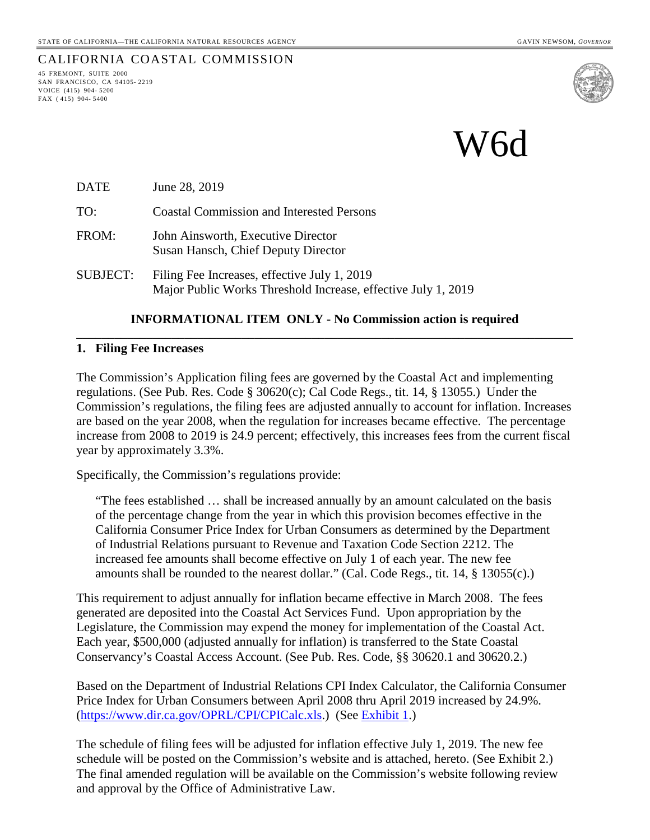# CALIFORNIA COASTAL COMMISSION

45 FREMONT, SUITE 2000 SAN FRANCISCO, CA 94105- 2219 VOICE (415) 904- 5200 FAX ( 415) 904- 5400



W6d

| <b>DATE</b> | June 28, 2019                                                             |
|-------------|---------------------------------------------------------------------------|
| TO:         | <b>Coastal Commission and Interested Persons</b>                          |
| FROM:       | John Ainsworth, Executive Director<br>Susan Hansch, Chief Deputy Director |

SUBJECT: Filing Fee Increases, effective July 1, 2019 Major Public Works Threshold Increase, effective July 1, 2019

### **INFORMATIONAL ITEM ONLY - No Commission action is required** \_\_\_\_\_\_\_\_\_\_\_\_\_\_\_\_\_\_\_\_\_\_\_\_\_\_\_\_\_\_\_\_\_\_\_\_\_\_\_\_\_\_\_\_\_\_\_\_\_\_\_\_\_\_\_\_\_\_\_\_\_\_\_\_\_\_\_\_\_\_\_\_\_\_\_\_\_\_

#### **1. Filing Fee Increases**

The Commission's Application filing fees are governed by the Coastal Act and implementing regulations. (See Pub. Res. Code § 30620(c); Cal Code Regs., tit. 14, § 13055.) Under the Commission's regulations, the filing fees are adjusted annually to account for inflation. Increases are based on the year 2008, when the regulation for increases became effective. The percentage increase from 2008 to 2019 is 24.9 percent; effectively, this increases fees from the current fiscal year by approximately 3.3%.

Specifically, the Commission's regulations provide:

"The fees established … shall be increased annually by an amount calculated on the basis of the percentage change from the year in which this provision becomes effective in the California Consumer Price Index for Urban Consumers as determined by the Department of Industrial Relations pursuant to Revenue and Taxation Code Section 2212. The increased fee amounts shall become effective on July 1 of each year. The new fee amounts shall be rounded to the nearest dollar." (Cal. Code Regs., tit. 14, § 13055(c).)

This requirement to adjust annually for inflation became effective in March 2008. The fees generated are deposited into the Coastal Act Services Fund. Upon appropriation by the Legislature, the Commission may expend the money for implementation of the Coastal Act. Each year, \$500,000 (adjusted annually for inflation) is transferred to the State Coastal Conservancy's Coastal Access Account. (See Pub. Res. Code, §§ 30620.1 and 30620.2.)

Based on the Department of Industrial Relations CPI Index Calculator, the California Consumer Price Index for Urban Consumers between April 2008 thru April 2019 increased by 24.9%. [\(https://www.dir.ca.gov/OPRL/CPI/CPICalc.xls.](https://www.dir.ca.gov/OPRL/CPI/CPICalc.xls)) (See [Exhibit 1.](#page-1-0))

The schedule of filing fees will be adjusted for inflation effective July 1, 2019. The new fee schedule will be posted on the Commission's website and is attached, hereto. (See Exhibit 2.) The final amended regulation will be available on the Commission's website following review and approval by the Office of Administrative Law.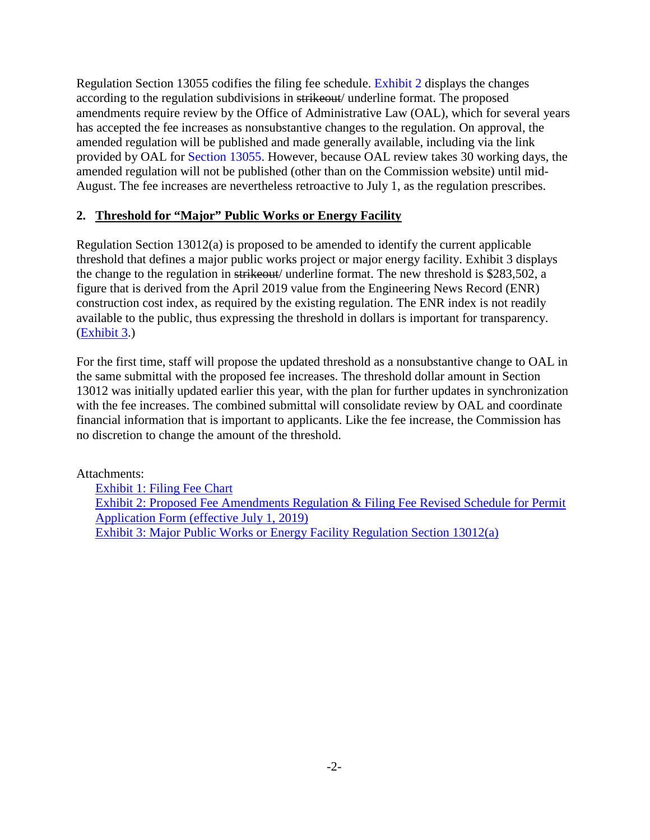Regulation Section 13055 codifies the filing fee schedule. [Exhibit 2](ttps://documents.coastal.ca.gov/reports/2019/7/W6d/w6d-7-2019-exhibits.pdf) displays the changes according to the regulation subdivisions in strikeout/ underline format. The proposed amendments require review by the Office of Administrative Law (OAL), which for several years has accepted the fee increases as nonsubstantive changes to the regulation. On approval, the amended regulation will be published and made generally available, including via the link provided by OAL for [Section 13055.](https://govt.westlaw.com/calregs/Document/I5B7FA8BE7530407DB9F8115544856A76?viewType=FullText&originationContext=documenttoc&transitionType=CategoryPageItem&contextData=(sc.Default)) However, because OAL review takes 30 working days, the amended regulation will not be published (other than on the Commission website) until mid-August. The fee increases are nevertheless retroactive to July 1, as the regulation prescribes.

### **2. Threshold for "Major" Public Works or Energy Facility**

Regulation Section 13012(a) is proposed to be amended to identify the current applicable threshold that defines a major public works project or major energy facility. Exhibit 3 displays the change to the regulation in strikeout/ underline format. The new threshold is \$283,502, a figure that is derived from the April 2019 value from the Engineering News Record (ENR) construction cost index, as required by the existing regulation. The ENR index is not readily available to the public, thus expressing the threshold in dollars is important for transparency. [\(Exhibit 3.](#page-16-0))

For the first time, staff will propose the updated threshold as a nonsubstantive change to OAL in the same submittal with the proposed fee increases. The threshold dollar amount in Section 13012 was initially updated earlier this year, with the plan for further updates in synchronization with the fee increases. The combined submittal will consolidate review by OAL and coordinate financial information that is important to applicants. Like the fee increase, the Commission has no discretion to change the amount of the threshold.

Attachments:

<span id="page-1-0"></span>Exhibit [1: Filing Fee Chart](#page-1-0) [Exhibit 2: Proposed Fee Amendments Regulation & Filing Fee Revised Schedule for Permit](#page-11-0)  [Application Form \(effective July 1, 2019\)](#page-11-0) [Exhibit 3: Major Public Works or Energy Facility Regulation Section 13012\(a\)](#page-16-0)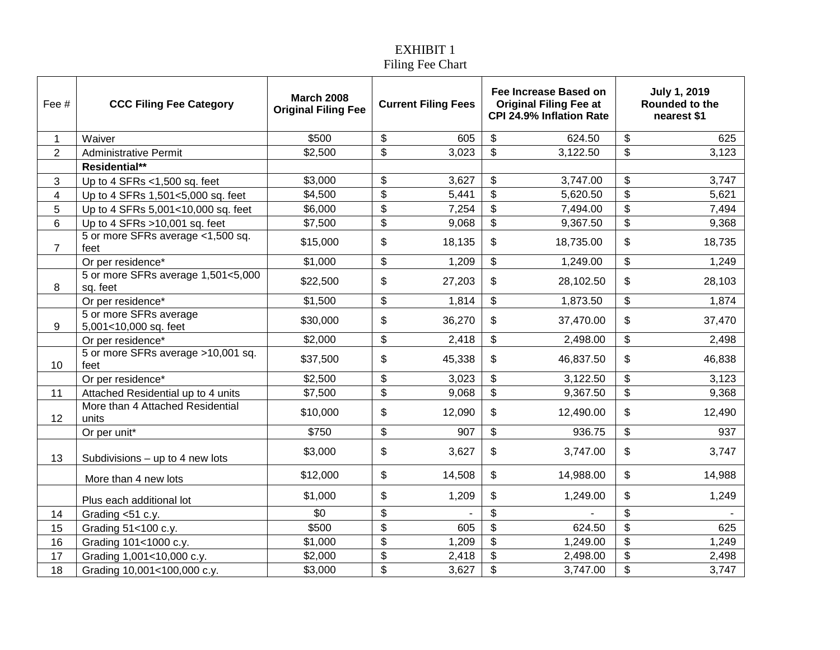### EXHIBIT 1 Filing Fee Chart

| Fee #          | <b>CCC Filing Fee Category</b>                  | <b>March 2008</b><br><b>Original Filing Fee</b> | <b>Current Filing Fees</b> |        |                           |           |                           |        |  |  |  |  |  |  |  |  |  |  |  |  |  |  |  |  |  |  |  |  |  | Fee Increase Based on<br><b>Original Filing Fee at</b><br>CPI 24.9% Inflation Rate |  | <b>July 1, 2019</b><br>Rounded to the<br>nearest \$1 |
|----------------|-------------------------------------------------|-------------------------------------------------|----------------------------|--------|---------------------------|-----------|---------------------------|--------|--|--|--|--|--|--|--|--|--|--|--|--|--|--|--|--|--|--|--|--|--|------------------------------------------------------------------------------------|--|------------------------------------------------------|
| $\mathbf 1$    | Waiver                                          | \$500                                           | \$                         | 605    | \$                        | 624.50    | \$                        | 625    |  |  |  |  |  |  |  |  |  |  |  |  |  |  |  |  |  |  |  |  |  |                                                                                    |  |                                                      |
| $\overline{2}$ | <b>Administrative Permit</b>                    | \$2,500                                         | $\boldsymbol{\mathsf{S}}$  | 3,023  | $\boldsymbol{\mathsf{S}}$ | 3,122.50  | $\boldsymbol{\mathsf{S}}$ | 3,123  |  |  |  |  |  |  |  |  |  |  |  |  |  |  |  |  |  |  |  |  |  |                                                                                    |  |                                                      |
|                | Residential**                                   |                                                 |                            |        |                           |           |                           |        |  |  |  |  |  |  |  |  |  |  |  |  |  |  |  |  |  |  |  |  |  |                                                                                    |  |                                                      |
| 3              | Up to 4 SFRs $<$ 1,500 sq. feet                 | \$3,000                                         | \$                         | 3,627  | \$                        | 3,747.00  | \$                        | 3,747  |  |  |  |  |  |  |  |  |  |  |  |  |  |  |  |  |  |  |  |  |  |                                                                                    |  |                                                      |
| 4              | Up to 4 SFRs 1,501<5,000 sq. feet               | \$4,500                                         | \$                         | 5,441  | \$                        | 5,620.50  | \$                        | 5,621  |  |  |  |  |  |  |  |  |  |  |  |  |  |  |  |  |  |  |  |  |  |                                                                                    |  |                                                      |
| 5              | Up to 4 SFRs 5,001<10,000 sq. feet              | \$6,000                                         | \$                         | 7,254  | $\overline{\mathcal{S}}$  | 7,494.00  | $\overline{\mathbf{e}}$   | 7,494  |  |  |  |  |  |  |  |  |  |  |  |  |  |  |  |  |  |  |  |  |  |                                                                                    |  |                                                      |
| 6              | Up to 4 SFRs $>10,001$ sq. feet                 | \$7,500                                         | $\boldsymbol{\theta}$      | 9,068  | $\$\$                     | 9,367.50  | \$                        | 9,368  |  |  |  |  |  |  |  |  |  |  |  |  |  |  |  |  |  |  |  |  |  |                                                                                    |  |                                                      |
| $\overline{7}$ | 5 or more SFRs average <1,500 sq.<br>feet       | \$15,000                                        | \$                         | 18,135 | \$                        | 18,735.00 | \$                        | 18,735 |  |  |  |  |  |  |  |  |  |  |  |  |  |  |  |  |  |  |  |  |  |                                                                                    |  |                                                      |
|                | Or per residence*                               | \$1,000                                         | \$                         | 1,209  | \$                        | 1,249.00  | \$                        | 1,249  |  |  |  |  |  |  |  |  |  |  |  |  |  |  |  |  |  |  |  |  |  |                                                                                    |  |                                                      |
| 8              | 5 or more SFRs average 1,501<5,000<br>sq. feet  | \$22,500                                        | \$                         | 27,203 | \$                        | 28,102.50 | \$                        | 28,103 |  |  |  |  |  |  |  |  |  |  |  |  |  |  |  |  |  |  |  |  |  |                                                                                    |  |                                                      |
|                | Or per residence*                               | \$1,500                                         | \$                         | 1,814  | \$                        | 1,873.50  | \$                        | 1,874  |  |  |  |  |  |  |  |  |  |  |  |  |  |  |  |  |  |  |  |  |  |                                                                                    |  |                                                      |
| 9              | 5 or more SFRs average<br>5,001<10,000 sq. feet | \$30,000                                        | \$                         | 36,270 | \$                        | 37,470.00 | \$                        | 37,470 |  |  |  |  |  |  |  |  |  |  |  |  |  |  |  |  |  |  |  |  |  |                                                                                    |  |                                                      |
|                | Or per residence*                               | \$2,000                                         | \$                         | 2,418  | \$                        | 2,498.00  | \$                        | 2,498  |  |  |  |  |  |  |  |  |  |  |  |  |  |  |  |  |  |  |  |  |  |                                                                                    |  |                                                      |
| 10             | 5 or more SFRs average >10,001 sq.<br>feet      | \$37,500                                        | \$                         | 45,338 | \$                        | 46,837.50 | \$                        | 46,838 |  |  |  |  |  |  |  |  |  |  |  |  |  |  |  |  |  |  |  |  |  |                                                                                    |  |                                                      |
|                | Or per residence*                               | \$2,500                                         | \$                         | 3,023  | \$                        | 3,122.50  | \$                        | 3,123  |  |  |  |  |  |  |  |  |  |  |  |  |  |  |  |  |  |  |  |  |  |                                                                                    |  |                                                      |
| 11             | Attached Residential up to 4 units              | \$7,500                                         | $\boldsymbol{\mathsf{S}}$  | 9,068  | $\overline{\$}$           | 9,367.50  | $\overline{\mathbf{S}}$   | 9,368  |  |  |  |  |  |  |  |  |  |  |  |  |  |  |  |  |  |  |  |  |  |                                                                                    |  |                                                      |
| 12             | More than 4 Attached Residential<br>units       | \$10,000                                        | \$                         | 12,090 | \$                        | 12,490.00 | \$                        | 12,490 |  |  |  |  |  |  |  |  |  |  |  |  |  |  |  |  |  |  |  |  |  |                                                                                    |  |                                                      |
|                | Or per unit*                                    | \$750                                           | $\boldsymbol{\mathsf{S}}$  | 907    | \$                        | 936.75    | \$                        | 937    |  |  |  |  |  |  |  |  |  |  |  |  |  |  |  |  |  |  |  |  |  |                                                                                    |  |                                                      |
| 13             | Subdivisions $-$ up to 4 new lots               | \$3,000                                         | \$                         | 3,627  | \$                        | 3,747.00  | \$                        | 3,747  |  |  |  |  |  |  |  |  |  |  |  |  |  |  |  |  |  |  |  |  |  |                                                                                    |  |                                                      |
|                | More than 4 new lots                            | \$12,000                                        | \$                         | 14,508 | \$                        | 14,988.00 | \$                        | 14,988 |  |  |  |  |  |  |  |  |  |  |  |  |  |  |  |  |  |  |  |  |  |                                                                                    |  |                                                      |
|                | Plus each additional lot                        | \$1,000                                         | \$                         | 1,209  | \$                        | 1,249.00  | \$                        | 1,249  |  |  |  |  |  |  |  |  |  |  |  |  |  |  |  |  |  |  |  |  |  |                                                                                    |  |                                                      |
| 14             | Grading <51 c.y.                                | \$0                                             | $\boldsymbol{\theta}$      |        | \$                        |           | \$                        |        |  |  |  |  |  |  |  |  |  |  |  |  |  |  |  |  |  |  |  |  |  |                                                                                    |  |                                                      |
| 15             | Grading 51<100 c.y.                             | \$500                                           | \$                         | 605    | $\overline{\mathbf{S}}$   | 624.50    | \$                        | 625    |  |  |  |  |  |  |  |  |  |  |  |  |  |  |  |  |  |  |  |  |  |                                                                                    |  |                                                      |
| 16             | Grading 101<1000 c.y.                           | \$1,000                                         | $\overline{\mathbf{S}}$    | 1,209  | $\overline{\mathbf{S}}$   | 1,249.00  | $\overline{\mathbf{e}}$   | 1,249  |  |  |  |  |  |  |  |  |  |  |  |  |  |  |  |  |  |  |  |  |  |                                                                                    |  |                                                      |
| 17             | Grading 1,001<10,000 c.y.                       | \$2,000                                         | \$                         | 2,418  | \$                        | 2,498.00  | \$                        | 2,498  |  |  |  |  |  |  |  |  |  |  |  |  |  |  |  |  |  |  |  |  |  |                                                                                    |  |                                                      |
| 18             | Grading 10,001<100,000 c.y.                     | \$3,000                                         | \$                         | 3,627  | \$                        | 3,747.00  | \$                        | 3,747  |  |  |  |  |  |  |  |  |  |  |  |  |  |  |  |  |  |  |  |  |  |                                                                                    |  |                                                      |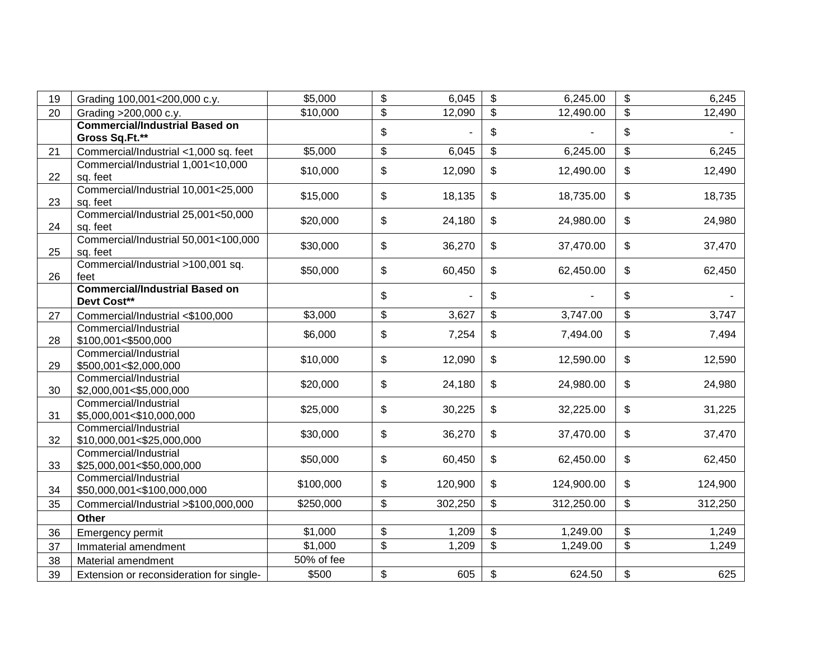| 19 | Grading 100,001<200,000 c.y.                            | \$5,000    | $\boldsymbol{\theta}$                     | 6,045   | \$                        | 6,245.00   | \$<br>6,245   |
|----|---------------------------------------------------------|------------|-------------------------------------------|---------|---------------------------|------------|---------------|
| 20 | Grading >200,000 c.y.                                   | \$10,000   | \$                                        | 12,090  | \$                        | 12,490.00  | \$<br>12,490  |
|    | <b>Commercial/Industrial Based on</b><br>Gross Sq.Ft.** |            | \$                                        |         | \$                        |            | \$            |
| 21 | Commercial/Industrial <1,000 sq. feet                   | \$5,000    | $\,$                                      | 6,045   | \$                        | 6,245.00   | \$<br>6,245   |
| 22 | Commercial/Industrial 1,001<10,000<br>sq. feet          | \$10,000   | \$                                        | 12,090  | \$                        | 12,490.00  | \$<br>12,490  |
| 23 | Commercial/Industrial 10,001<25,000<br>sq. feet         | \$15,000   | \$                                        | 18,135  | \$                        | 18,735.00  | \$<br>18,735  |
| 24 | Commercial/Industrial 25,001<50,000<br>sq. feet         | \$20,000   | \$                                        | 24,180  | \$                        | 24,980.00  | \$<br>24,980  |
| 25 | Commercial/Industrial 50,001<100,000<br>sq. feet        | \$30,000   | \$                                        | 36,270  | \$                        | 37,470.00  | \$<br>37,470  |
| 26 | Commercial/Industrial >100,001 sq.<br>feet              | \$50,000   | \$                                        | 60,450  | \$                        | 62,450.00  | \$<br>62,450  |
|    | <b>Commercial/Industrial Based on</b><br>Devt Cost**    |            | \$                                        |         | \$                        |            | \$            |
| 27 | Commercial/Industrial <\$100,000                        | \$3,000    | $\, \, \raisebox{12pt}{$\scriptstyle \$}$ | 3,627   | \$                        | 3,747.00   | \$<br>3,747   |
| 28 | Commercial/Industrial<br>\$100,001<\$500,000            | \$6,000    | \$                                        | 7,254   | \$                        | 7,494.00   | \$<br>7,494   |
| 29 | Commercial/Industrial<br>\$500,001<\$2,000,000          | \$10,000   | \$                                        | 12,090  | \$                        | 12,590.00  | \$<br>12,590  |
| 30 | Commercial/Industrial<br>\$2,000,001<\$5,000,000        | \$20,000   | \$                                        | 24,180  | \$                        | 24,980.00  | \$<br>24,980  |
| 31 | Commercial/Industrial<br>\$5,000,001<\$10,000,000       | \$25,000   | \$                                        | 30,225  | \$                        | 32,225.00  | \$<br>31,225  |
| 32 | Commercial/Industrial<br>\$10,000,001<\$25,000,000      | \$30,000   | \$                                        | 36,270  | \$                        | 37,470.00  | \$<br>37,470  |
| 33 | Commercial/Industrial<br>\$25,000,001<\$50,000,000      | \$50,000   | \$                                        | 60,450  | \$                        | 62,450.00  | \$<br>62,450  |
| 34 | Commercial/Industrial<br>\$50,000,001<\$100,000,000     | \$100,000  | \$                                        | 120,900 | \$                        | 124,900.00 | \$<br>124,900 |
| 35 | Commercial/Industrial >\$100,000,000                    | \$250,000  | $\boldsymbol{\theta}$                     | 302,250 | \$                        | 312,250.00 | \$<br>312,250 |
|    | Other                                                   |            |                                           |         |                           |            |               |
| 36 | Emergency permit                                        | \$1,000    | $\boldsymbol{\theta}$                     | 1,209   | \$                        | 1,249.00   | \$<br>1,249   |
| 37 | Immaterial amendment                                    | \$1,000    | \$                                        | 1,209   | \$                        | 1,249.00   | \$<br>1,249   |
| 38 | Material amendment                                      | 50% of fee |                                           |         |                           |            |               |
| 39 | Extension or reconsideration for single-                | \$500      | \$                                        | 605     | $\boldsymbol{\mathsf{S}}$ | 624.50     | \$<br>625     |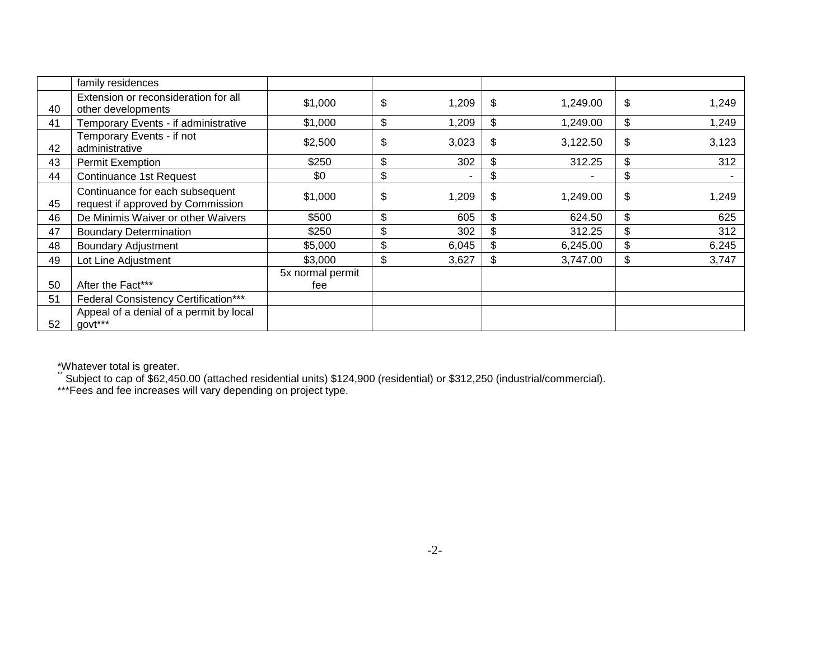|    | family residences                                                    |                         |                       |       |                                |             |
|----|----------------------------------------------------------------------|-------------------------|-----------------------|-------|--------------------------------|-------------|
| 40 | Extension or reconsideration for all<br>other developments           | \$1,000                 | $\boldsymbol{\theta}$ | 1,209 | \$<br>1,249.00                 | \$<br>1,249 |
| 41 | Temporary Events - if administrative                                 | \$1,000                 | \$                    | 1,209 | \$<br>1,249.00                 | \$<br>1,249 |
| 42 | Temporary Events - if not<br>administrative                          | \$2,500                 | \$                    | 3,023 | \$<br>3,122.50                 | \$<br>3,123 |
| 43 | <b>Permit Exemption</b>                                              | \$250                   | \$                    | 302   | \$<br>312.25                   | \$<br>312   |
| 44 | <b>Continuance 1st Request</b>                                       | \$0                     | \$                    |       | \$<br>$\overline{\phantom{0}}$ | \$          |
| 45 | Continuance for each subsequent<br>request if approved by Commission | \$1,000                 | \$                    | 1,209 | \$<br>1,249.00                 | \$<br>1,249 |
| 46 | De Minimis Waiver or other Waivers                                   | \$500                   | $\boldsymbol{\theta}$ | 605   | \$<br>624.50                   | \$<br>625   |
| 47 | <b>Boundary Determination</b>                                        | \$250                   | $\boldsymbol{\theta}$ | 302   | \$<br>312.25                   | \$<br>312   |
| 48 | <b>Boundary Adjustment</b>                                           | \$5,000                 | $\boldsymbol{\theta}$ | 6,045 | \$<br>6,245.00                 | \$<br>6,245 |
| 49 | Lot Line Adjustment                                                  | \$3,000                 | \$                    | 3,627 | \$<br>3,747.00                 | \$<br>3,747 |
| 50 | After the Fact***                                                    | 5x normal permit<br>fee |                       |       |                                |             |
| 51 | <b>Federal Consistency Certification***</b>                          |                         |                       |       |                                |             |
| 52 | Appeal of a denial of a permit by local<br>govt***                   |                         |                       |       |                                |             |

\*Whatever total is greater.

\*\* Subject to cap of \$62,450.00 (attached residential units) \$124,900 (residential) or \$312,250 (industrial/commercial).

\*\*\*Fees and fee increases will vary depending on project type.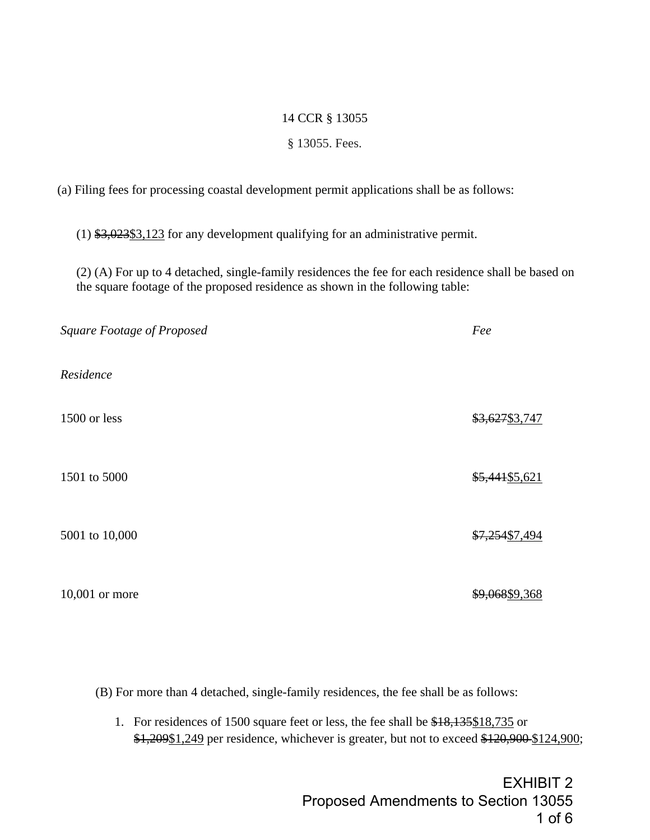#### 14 CCR § 13055

#### § 13055. Fees.

(a) Filing fees for processing coastal development permit applications shall be as follows:

(1) \$3,023\$3,123 for any development qualifying for an administrative permit.

(2) (A) For up to 4 detached, single-family residences the fee for each residence shall be based on the square footage of the proposed residence as shown in the following table:

| Square Footage of Proposed | Fee            |
|----------------------------|----------------|
| Residence                  |                |
| 1500 or less               | \$3,627\$3,747 |
| 1501 to 5000               | \$5,441\$5,621 |
| 5001 to 10,000             | \$7,254\$7,494 |
| 10,001 or more             | \$9,068\$9,368 |

(B) For more than 4 detached, single-family residences, the fee shall be as follows:

1. For residences of 1500 square feet or less, the fee shall be \$18,135\$18,735 or \$1,209\$1,249 per residence, whichever is greater, but not to exceed \$120,900 \$124,900;

> EXHIBIT 2 Proposed Amendments to Section 13055 1 of 6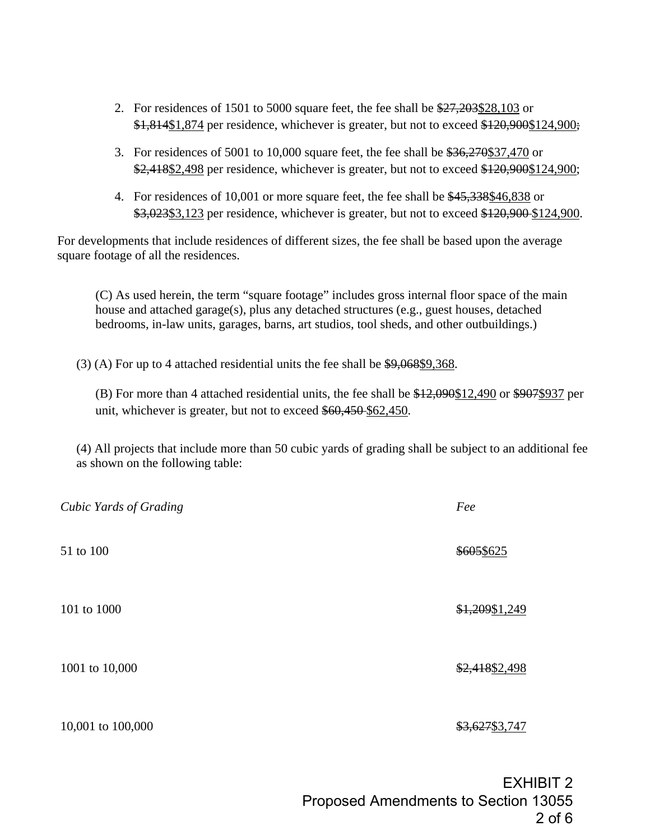- 2. For residences of 1501 to 5000 square feet, the fee shall be \$27,203\$28,103 or \$1,814\$1,874 per residence, whichever is greater, but not to exceed \$120,900\$124,900;
- 3. For residences of 5001 to 10,000 square feet, the fee shall be \$36,270\$37,470 or \$2,418\$2,498 per residence, whichever is greater, but not to exceed \$120,900\$124,900;
- 4. For residences of 10,001 or more square feet, the fee shall be \$45,338\$46,838 or \$3,023\$3,123 per residence, whichever is greater, but not to exceed \$120,900-\$124,900.

For developments that include residences of different sizes, the fee shall be based upon the average square footage of all the residences.

(C) As used herein, the term "square footage" includes gross internal floor space of the main house and attached garage(s), plus any detached structures (e.g., guest houses, detached bedrooms, in-law units, garages, barns, art studios, tool sheds, and other outbuildings.)

(3) (A) For up to 4 attached residential units the fee shall be \$9,068\$9,368.

(B) For more than 4 attached residential units, the fee shall be \$12,090\$12,490 or \$907\$937 per unit, whichever is greater, but not to exceed \$60,450 \$62,450.

(4) All projects that include more than 50 cubic yards of grading shall be subject to an additional fee as shown on the following table:

| Cubic Yards of Grading | Fee            |
|------------------------|----------------|
| 51 to 100              | \$605\$625     |
| 101 to 1000            | \$1,209\$1,249 |
| 1001 to 10,000         | \$2,418\$2,498 |
| 10,001 to 100,000      | \$3,627\$3,747 |
|                        |                |

EXHIBIT 2 Proposed Amendments to Section 13055 2 of 6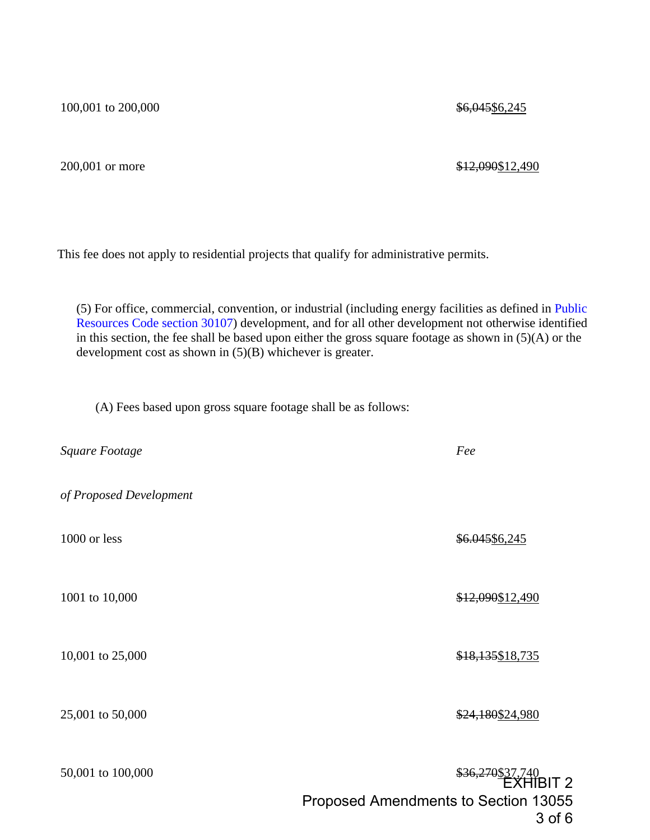100,001 to 200,000

200,001 or more

## \$12,090\$12,490

\$6,045\$6,245

This fee does not apply to residential projects that qualify for administrative permits.

(5) For office, commercial, convention, or industrial (including energy facilities as defined in [Public](http://www.westlaw.com/Link/Document/FullText?findType=L&pubNum=1000220&cite=CAPHS30107&originatingDoc=I4F7EC95551F346FBB2ECB7088818C73F&refType=LQ&originationContext=document&vr=3.0&rs=cblt1.0&transitionType=DocumentItem&contextData=(sc.Search))  [Resources Code section 30107\)](http://www.westlaw.com/Link/Document/FullText?findType=L&pubNum=1000220&cite=CAPHS30107&originatingDoc=I4F7EC95551F346FBB2ECB7088818C73F&refType=LQ&originationContext=document&vr=3.0&rs=cblt1.0&transitionType=DocumentItem&contextData=(sc.Search)) development, and for all other development not otherwise identified in this section, the fee shall be based upon either the gross square footage as shown in (5)(A) or the development cost as shown in (5)(B) whichever is greater.

(A) Fees based upon gross square footage shall be as follows:

| Square Footage          | Fee                                                                                 |
|-------------------------|-------------------------------------------------------------------------------------|
| of Proposed Development |                                                                                     |
| 1000 or less            | \$6.045\$6,245                                                                      |
| 1001 to 10,000          | \$12,090\$12,490                                                                    |
| 10,001 to 25,000        | \$18,135\$18,735                                                                    |
| 25,001 to 50,000        | \$24,180\$24,980                                                                    |
| 50,001 to 100,000       | $$36,270$37,740$<br>EXHIBIT 2<br>Proposed Amendments to Section 13055<br>$3$ of $6$ |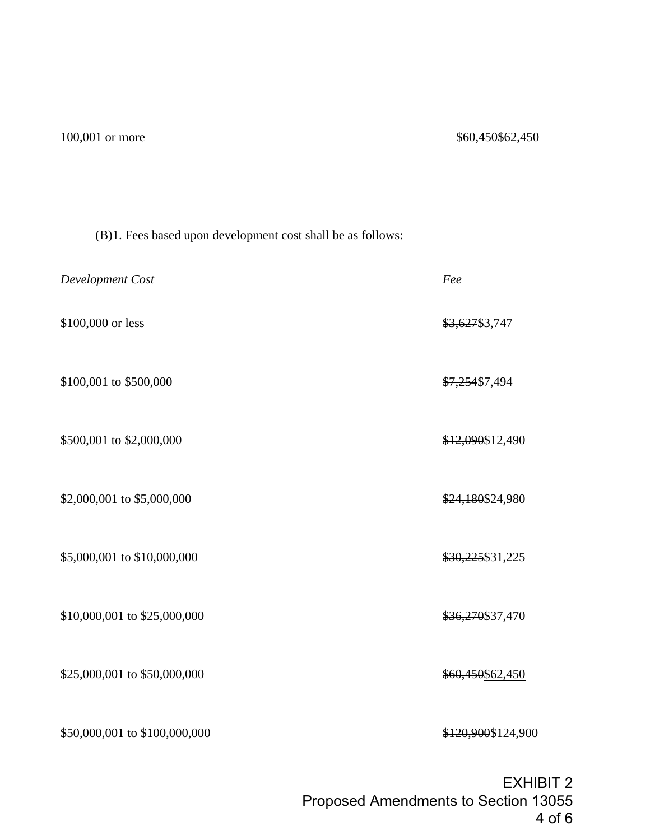| Development Cost              | Fee                |
|-------------------------------|--------------------|
| \$100,000 or less             | \$3,627\$3,747     |
| \$100,001 to \$500,000        | \$7,254\$7,494     |
| \$500,001 to \$2,000,000      | \$12,090\$12,490   |
| \$2,000,001 to \$5,000,000    | \$24,180\$24,980   |
| \$5,000,001 to \$10,000,000   | \$30,225\$31,225   |
| \$10,000,001 to \$25,000,000  | \$36,270\$37,470   |
| \$25,000,001 to \$50,000,000  | \$60,450\$62,450   |
| \$50,000,001 to \$100,000,000 | \$120,900\$124,900 |
|                               | $-1/1$             |

EXHIBIT 2 Proposed Amendments to Section 13055 4 of 6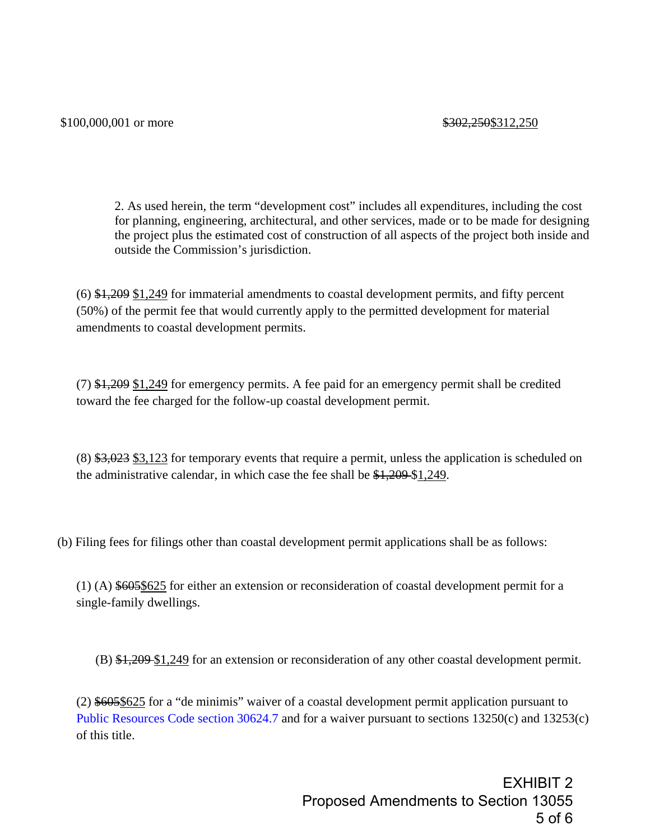2. As used herein, the term "development cost" includes all expenditures, including the cost for planning, engineering, architectural, and other services, made or to be made for designing the project plus the estimated cost of construction of all aspects of the project both inside and outside the Commission's jurisdiction.

 $(6)$  \$1,209 \$1,249 for immaterial amendments to coastal development permits, and fifty percent (50%) of the permit fee that would currently apply to the permitted development for material amendments to coastal development permits.

(7) \$1,209 \$1,249 for emergency permits. A fee paid for an emergency permit shall be credited toward the fee charged for the follow-up coastal development permit.

 $(8)$  \$3,023 \$3,123 for temporary events that require a permit, unless the application is scheduled on the administrative calendar, in which case the fee shall be \$1,209 \$1,249.

(b) Filing fees for filings other than coastal development permit applications shall be as follows:

(1) (A) \$605\$625 for either an extension or reconsideration of coastal development permit for a single-family dwellings.

(B) \$1,209 \$1,249 for an extension or reconsideration of any other coastal development permit.

(2) \$605\$625 for a "de minimis" waiver of a coastal development permit application pursuant to [Public Resources Code section 30624.7](http://www.westlaw.com/Link/Document/FullText?findType=L&pubNum=1000220&cite=CAPHS30624.7&originatingDoc=I4F7EC95551F346FBB2ECB7088818C73F&refType=LQ&originationContext=document&vr=3.0&rs=cblt1.0&transitionType=DocumentItem&contextData=(sc.Search)) and for a waiver pursuant to sections 13250(c) and 13253(c) of this title.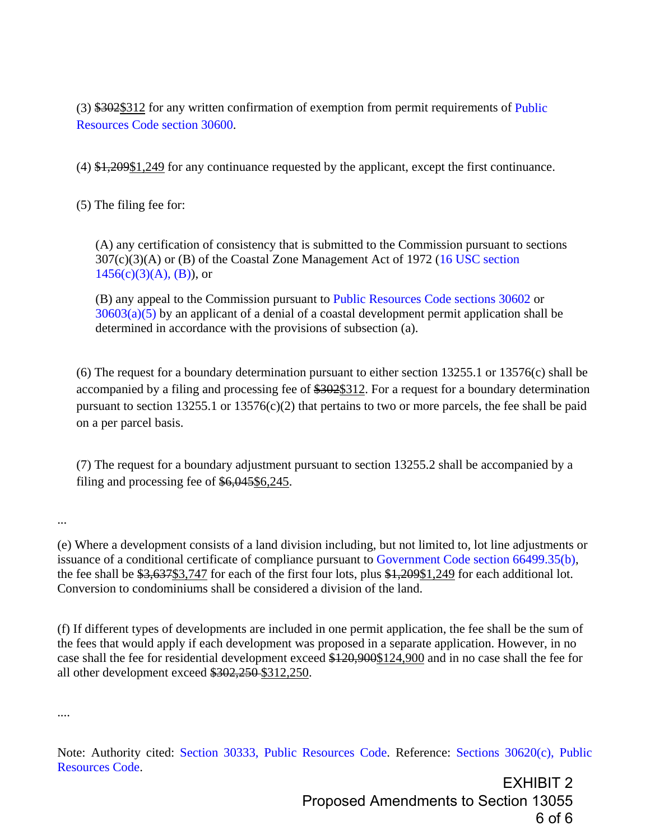(3) \$302\$312 for any written confirmation of exemption from permit requirements of [Public](http://www.westlaw.com/Link/Document/FullText?findType=L&pubNum=1000220&cite=CAPHS30600&originatingDoc=I4F7EC95551F346FBB2ECB7088818C73F&refType=LQ&originationContext=document&vr=3.0&rs=cblt1.0&transitionType=DocumentItem&contextData=(sc.Search))  [Resources Code section 30600.](http://www.westlaw.com/Link/Document/FullText?findType=L&pubNum=1000220&cite=CAPHS30600&originatingDoc=I4F7EC95551F346FBB2ECB7088818C73F&refType=LQ&originationContext=document&vr=3.0&rs=cblt1.0&transitionType=DocumentItem&contextData=(sc.Search))

 $(4)$  \$1,209\$1,249 for any continuance requested by the applicant, except the first continuance.

(5) The filing fee for:

(A) any certification of consistency that is submitted to the Commission pursuant to sections 307(c)(3)(A) or (B) of the Coastal Zone Management Act of 1972 [\(16 USC section](http://www.westlaw.com/Link/Document/FullText?findType=L&pubNum=1000546&cite=16USCAS1456&originatingDoc=I4F7EC95551F346FBB2ECB7088818C73F&refType=RB&originationContext=document&vr=3.0&rs=cblt1.0&transitionType=DocumentItem&contextData=(sc.Search)#co_pp_773400008cd46)   $1456(c)(3)(A), (B)$ , or

(B) any appeal to the Commission pursuant to [Public Resources Code sections 30602](http://www.westlaw.com/Link/Document/FullText?findType=L&pubNum=1000220&cite=CAPHS30602&originatingDoc=I4F7EC95551F346FBB2ECB7088818C73F&refType=LQ&originationContext=document&vr=3.0&rs=cblt1.0&transitionType=DocumentItem&contextData=(sc.Search)) or  $30603(a)(5)$  by an applicant of a denial of a coastal development permit application shall be determined in accordance with the provisions of subsection (a).

(6) The request for a boundary determination pursuant to either section 13255.1 or 13576(c) shall be accompanied by a filing and processing fee of \$302\$312. For a request for a boundary determination pursuant to section 13255.1 or 13576(c)(2) that pertains to two or more parcels, the fee shall be paid on a per parcel basis.

(7) The request for a boundary adjustment pursuant to section 13255.2 shall be accompanied by a filing and processing fee of \$6,045\$6,245.

...

(e) Where a development consists of a land division including, but not limited to, lot line adjustments or issuance of a conditional certificate of compliance pursuant to [Government Code section 66499.35\(b\),](http://www.westlaw.com/Link/Document/FullText?findType=L&pubNum=1000211&cite=CAGTS66499.35&originatingDoc=I4F7EC95551F346FBB2ECB7088818C73F&refType=SP&originationContext=document&vr=3.0&rs=cblt1.0&transitionType=DocumentItem&contextData=(sc.Search)#co_pp_a83b000018c76) the fee shall be \$3,637\$3,747 for each of the first four lots, plus \$1,209\$1,249 for each additional lot. Conversion to condominiums shall be considered a division of the land.

(f) If different types of developments are included in one permit application, the fee shall be the sum of the fees that would apply if each development was proposed in a separate application. However, in no case shall the fee for residential development exceed \$120,900\$124,900 and in no case shall the fee for all other development exceed \$302,250 \$312,250.

....

Note: Authority cited: [Section 30333, Public Resources Code.](http://www.westlaw.com/Link/Document/FullText?findType=L&pubNum=1000220&cite=CAPHS30333&originatingDoc=I4F7EC95551F346FBB2ECB7088818C73F&refType=LQ&originationContext=document&vr=3.0&rs=cblt1.0&transitionType=DocumentItem&contextData=(sc.Search)) Reference: [Sections 30620\(c\), Public](http://www.westlaw.com/Link/Document/FullText?findType=L&pubNum=1000220&cite=CAPHS30620&originatingDoc=I4F7EC95551F346FBB2ECB7088818C73F&refType=SP&originationContext=document&vr=3.0&rs=cblt1.0&transitionType=DocumentItem&contextData=(sc.Search)#co_pp_4b24000003ba5)  [Resources Code.](http://www.westlaw.com/Link/Document/FullText?findType=L&pubNum=1000220&cite=CAPHS30620&originatingDoc=I4F7EC95551F346FBB2ECB7088818C73F&refType=SP&originationContext=document&vr=3.0&rs=cblt1.0&transitionType=DocumentItem&contextData=(sc.Search)#co_pp_4b24000003ba5)

> EXHIBIT 2 Proposed Amendments to Section 13055 6 of 6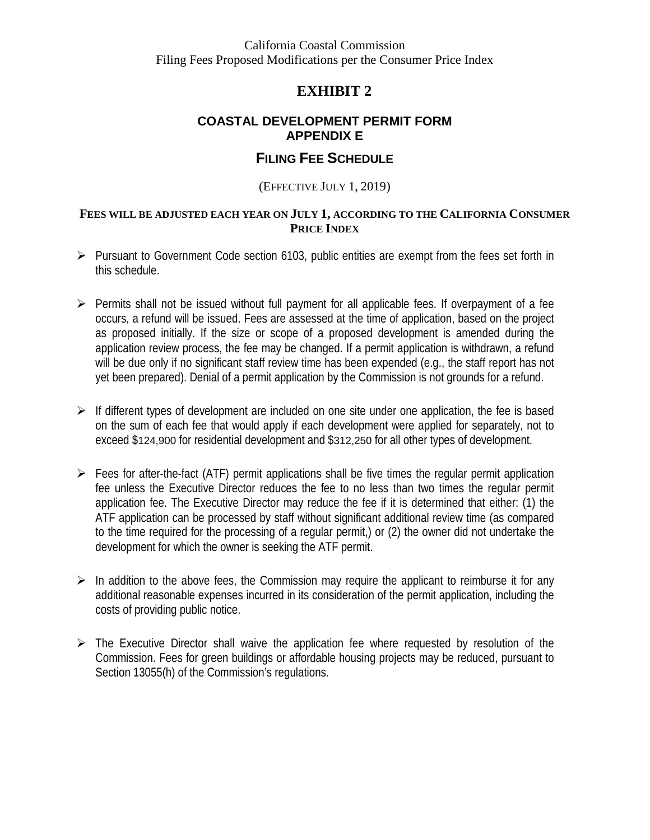<span id="page-11-0"></span>California Coastal Commission Filing Fees Proposed Modifications per the Consumer Price Index

## **EXHIBIT 2**

## **COASTAL DEVELOPMENT PERMIT FORM APPENDIX E**

## **FILING FEE SCHEDULE**

### (EFFECTIVE JULY 1, 2019)

### **FEES WILL BE ADJUSTED EACH YEAR ON JULY 1, ACCORDING TO THE CALIFORNIA CONSUMER PRICE INDEX**

- $\triangleright$  Pursuant to Government Code section 6103, public entities are exempt from the fees set forth in this schedule.
- $\triangleright$  Permits shall not be issued without full payment for all applicable fees. If overpayment of a fee occurs, a refund will be issued. Fees are assessed at the time of application, based on the project as proposed initially. If the size or scope of a proposed development is amended during the application review process, the fee may be changed. If a permit application is withdrawn, a refund will be due only if no significant staff review time has been expended (e.g., the staff report has not yet been prepared). Denial of a permit application by the Commission is not grounds for a refund.
- $\triangleright$  If different types of development are included on one site under one application, the fee is based on the sum of each fee that would apply if each development were applied for separately, not to exceed \$124,900 for residential development and \$312,250 for all other types of development.
- $\triangleright$  Fees for after-the-fact (ATF) permit applications shall be five times the regular permit application fee unless the Executive Director reduces the fee to no less than two times the regular permit application fee. The Executive Director may reduce the fee if it is determined that either: (1) the ATF application can be processed by staff without significant additional review time (as compared to the time required for the processing of a regular permit,) or (2) the owner did not undertake the development for which the owner is seeking the ATF permit.
- $\triangleright$  In addition to the above fees, the Commission may require the applicant to reimburse it for any additional reasonable expenses incurred in its consideration of the permit application, including the costs of providing public notice.
- $\triangleright$  The Executive Director shall waive the application fee where requested by resolution of the Commission. Fees for green buildings or affordable housing projects may be reduced, pursuant to Section 13055(h) of the Commission's regulations.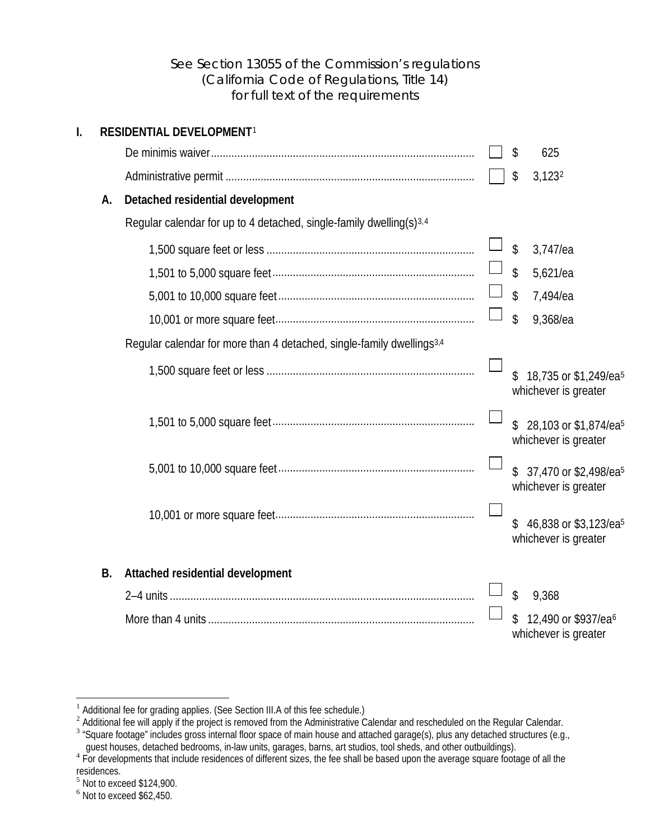### <span id="page-12-2"></span><span id="page-12-1"></span><span id="page-12-0"></span>See Section 13055 of the Commission's regulations (California Code of Regulations, Title 14) for full text of the requirements

|           | RESIDENTIAL DEVELOPMENT <sup>1</sup>                                              |                            |                                                           |
|-----------|-----------------------------------------------------------------------------------|----------------------------|-----------------------------------------------------------|
|           |                                                                                   | \$                         | 625                                                       |
|           |                                                                                   | \$                         | 3,1232                                                    |
| А.        | Detached residential development                                                  |                            |                                                           |
|           | Regular calendar for up to 4 detached, single-family dwelling(s) <sup>3,4</sup>   |                            |                                                           |
|           |                                                                                   | \$                         | 3,747/ea                                                  |
|           |                                                                                   | \$                         | 5,621/ea                                                  |
|           |                                                                                   | $\boldsymbol{\mathsf{\$}}$ | 7,494/ea                                                  |
|           |                                                                                   | \$                         | 9,368/ea                                                  |
|           | Regular calendar for more than 4 detached, single-family dwellings <sup>3,4</sup> |                            |                                                           |
|           |                                                                                   |                            | 18,735 or \$1,249/ea <sup>5</sup><br>whichever is greater |
|           |                                                                                   | $\mathcal{S}$              | 28,103 or \$1,874/ea <sup>5</sup><br>whichever is greater |
|           |                                                                                   | \$.                        | 37,470 or \$2,498/ea <sup>5</sup><br>whichever is greater |
|           |                                                                                   |                            | 46,838 or \$3,123/ea <sup>5</sup><br>whichever is greater |
| <b>B.</b> | Attached residential development                                                  |                            |                                                           |
|           |                                                                                   | \$                         | 9,368                                                     |
|           |                                                                                   |                            | 12,490 or \$937/ea <sup>6</sup><br>whichever is greater   |

<span id="page-12-4"></span><span id="page-12-3"></span>

<sup>1&</sup>lt;br><sup>1</sup> Additional fee for grading applies. (See Section III.A of this fee schedule.)<br><sup>2</sup> Additional fee will apply if the project is removed from the Administrative Calendar and rescheduled on the Regular Calendar.

 $3$  "Square footage" includes gross internal floor space of main house and attached garage(s), plus any detached structures (e.g.,

<span id="page-12-6"></span><span id="page-12-5"></span>guest houses, detached bedrooms, in-law units, garages, barns, art studios, tool sheds, and other outbuildings).<br><sup>4</sup> For developments that include residences of different sizes, the fee shall be based upon the average squa

<span id="page-12-8"></span><span id="page-12-7"></span> $\frac{5}{6}$  Not to exceed \$124,900.<br> $\frac{6}{6}$  Not to exceed \$62,450.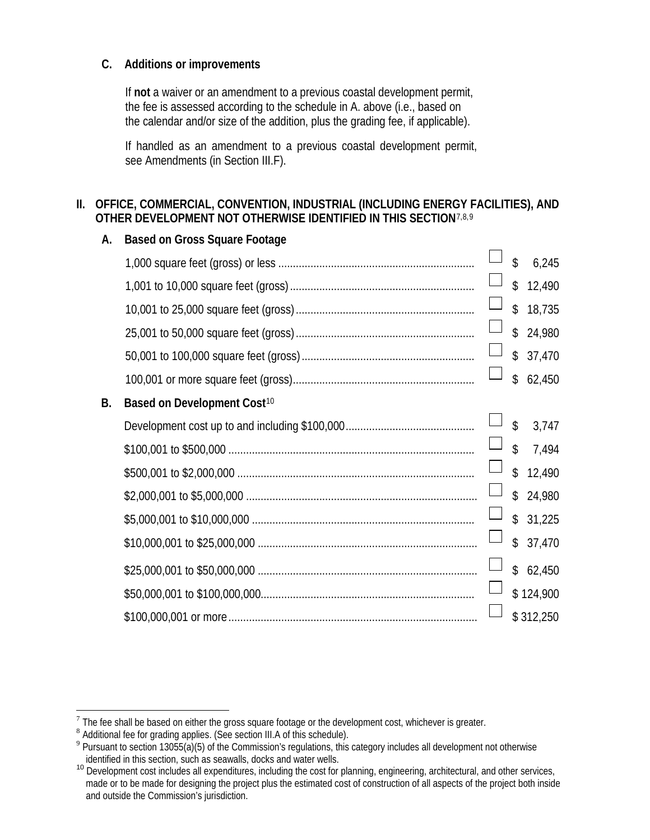### **C. Additions or improvements**

If **not** a waiver or an amendment to a previous coastal development permit, the fee is assessed according to the schedule in A. above (i.e., based on the calendar and/or size of the addition, plus the grading fee, if applicable).

If handled as an amendment to a previous coastal development permit, see Amendments (in Section III.F).

### **II. OFFICE, COMMERCIAL, CONVENTION, INDUSTRIAL (INCLUDING ENERGY FACILITIES), AND OTHER DEVELOPMENT NOT OTHERWISE IDENTIFIED IN THIS SECTION**[7,](#page-13-0)[8,](#page-13-1)[9](#page-13-2)

| А.        | <b>Based on Gross Square Footage</b>    |   |                    |           |
|-----------|-----------------------------------------|---|--------------------|-----------|
|           |                                         |   | $\mathbf{\hat{z}}$ | 6,245     |
|           |                                         |   | $\mathsf{\$}$      | 12,490    |
|           |                                         |   | $\mathsf{\$}$      | 18,735    |
|           |                                         |   | $\mathcal{L}$      | 24,980    |
|           |                                         |   |                    | \$37,470  |
|           |                                         |   | $\hat{S}$          | 62,450    |
| <b>B.</b> | Based on Development Cost <sup>10</sup> |   |                    |           |
|           |                                         |   | $\mathfrak{D}$     | 3,747     |
|           |                                         |   | $\mathsf{\$}$      | 7,494     |
|           |                                         |   | $\mathcal{S}$      | 12,490    |
|           |                                         | Ц | $\mathsf{\$}$      | 24,980    |
|           |                                         |   | $\mathcal{L}$      | 31,225    |
|           |                                         |   | \$                 | 37,470    |
|           |                                         |   | $\mathcal{L}$      | 62,450    |
|           |                                         |   |                    | \$124,900 |
|           |                                         |   |                    | \$312,250 |

<span id="page-13-2"></span>

<span id="page-13-1"></span><span id="page-13-0"></span> $\frac{1}{2}$  The fee shall be based on either the gross square footage or the development cost, whichever is greater.<br>  $\frac{1}{2}$  Additional fee for grading applies. (See section III.A of this schedule).<br>  $\frac{1}{2}$  Pursuant t identified in this section, such as seawalls, docks and water wells.

<span id="page-13-3"></span><sup>&</sup>lt;sup>10</sup> Development cost includes all expenditures, including the cost for planning, engineering, architectural, and other services, made or to be made for designing the project plus the estimated cost of construction of all aspects of the project both inside and outside the Commission's jurisdiction.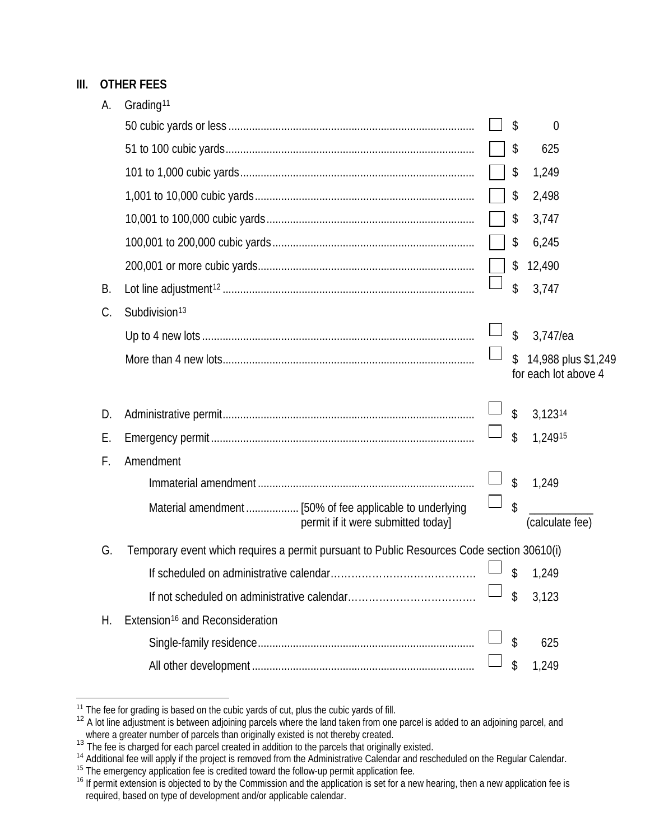## **III. OTHER FEES**

| А. | Grading <sup>11</sup>                                                                      |    |                                             |
|----|--------------------------------------------------------------------------------------------|----|---------------------------------------------|
|    |                                                                                            | \$ | $\overline{0}$                              |
|    |                                                                                            | \$ | 625                                         |
|    |                                                                                            | \$ | 1,249                                       |
|    |                                                                                            | \$ | 2,498                                       |
|    |                                                                                            | \$ | 3,747                                       |
|    |                                                                                            | \$ | 6,245                                       |
|    |                                                                                            | \$ | 12,490                                      |
| В. |                                                                                            | \$ | 3,747                                       |
| C. | Subdivision <sup>13</sup>                                                                  |    |                                             |
|    |                                                                                            | \$ | 3,747/ea                                    |
|    |                                                                                            | \$ | 14,988 plus \$1,249<br>for each lot above 4 |
| D. |                                                                                            | \$ | 3,12314                                     |
| Е. |                                                                                            | \$ | 1,24915                                     |
| F. | Amendment                                                                                  |    |                                             |
|    |                                                                                            | \$ | 1,249                                       |
|    | permit if it were submitted today]                                                         | \$ | (calculate fee)                             |
| G. | Temporary event which requires a permit pursuant to Public Resources Code section 30610(i) |    |                                             |
|    |                                                                                            | \$ | 1,249                                       |
|    |                                                                                            | \$ | 3,123                                       |
| Н. | Extension <sup>16</sup> and Reconsideration                                                |    |                                             |
|    |                                                                                            | \$ | 625                                         |
|    |                                                                                            | \$ | 1,249                                       |

<span id="page-14-1"></span><span id="page-14-0"></span><sup>&</sup>lt;sup>11</sup> The fee for grading is based on the cubic yards of cut, plus the cubic yards of fill.<br><sup>12</sup> A lot line adjustment is between adjoining parcels where the land taken from one parcel is added to an adjoining parcel, and<br>

<span id="page-14-4"></span><span id="page-14-3"></span><span id="page-14-2"></span><sup>&</sup>lt;sup>14</sup> Additional fee will apply if the project is removed from the Administrative Calendar and rescheduled on the Regular Calendar.<br><sup>15</sup> The emergency application fee is credited toward the follow-up permit application fee.

<span id="page-14-5"></span>required, based on type of development and/or applicable calendar.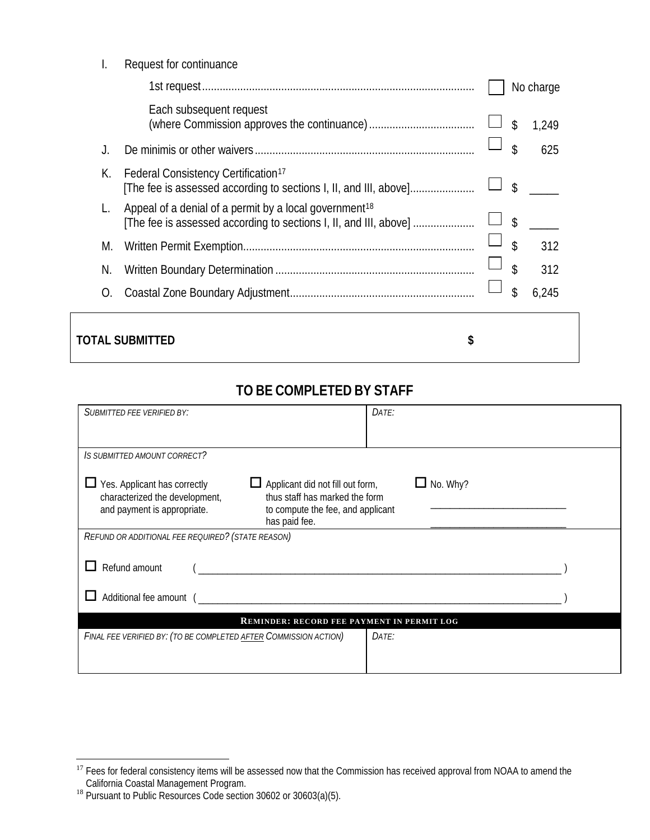|  | Request for continuance |
|--|-------------------------|
|--|-------------------------|

|                              |                                                                                                                                         |  | No charge   |  |
|------------------------------|-----------------------------------------------------------------------------------------------------------------------------------------|--|-------------|--|
|                              | Each subsequent request                                                                                                                 |  | \$<br>1,249 |  |
|                              |                                                                                                                                         |  | \$<br>625   |  |
| К.                           | Federal Consistency Certification <sup>17</sup><br>[The fee is assessed according to sections I, II, and III, above]                    |  | \$          |  |
|                              | Appeal of a denial of a permit by a local government <sup>18</sup><br>[The fee is assessed according to sections I, II, and III, above] |  | \$          |  |
| M.                           |                                                                                                                                         |  | \$<br>312   |  |
| N.                           |                                                                                                                                         |  | \$<br>312   |  |
| O.                           |                                                                                                                                         |  | \$<br>6,245 |  |
| <b>TOTAL SUBMITTED</b><br>\$ |                                                                                                                                         |  |             |  |

# **TO BE COMPLETED BY STAFF**

| <b>SUBMITTED FEE VERIFIED BY:</b>                                                                                                                                                                                                                   | DATE: |  |  |  |  |  |
|-----------------------------------------------------------------------------------------------------------------------------------------------------------------------------------------------------------------------------------------------------|-------|--|--|--|--|--|
| IS SUBMITTED AMOUNT CORRECT?                                                                                                                                                                                                                        |       |  |  |  |  |  |
| No. Why?<br>$\Box$ Yes. Applicant has correctly<br>$\Box$ Applicant did not fill out form,<br>thus staff has marked the form<br>characterized the development,<br>and payment is appropriate.<br>to compute the fee, and applicant<br>has paid fee. |       |  |  |  |  |  |
| REFUND OR ADDITIONAL FEE REQUIRED? (STATE REASON)                                                                                                                                                                                                   |       |  |  |  |  |  |
| Refund amount                                                                                                                                                                                                                                       |       |  |  |  |  |  |
| Additional fee amount (                                                                                                                                                                                                                             |       |  |  |  |  |  |
| <b>REMINDER: RECORD FEE PAYMENT IN PERMIT LOG</b>                                                                                                                                                                                                   |       |  |  |  |  |  |
| FINAL FEE VERIFIED BY: (TO BE COMPLETED AFTER COMMISSION ACTION)                                                                                                                                                                                    | DATE: |  |  |  |  |  |

<span id="page-15-0"></span><sup>17</sup> Fees for federal consistency items will be assessed now that the Commission has received approval from NOAA to amend the

<span id="page-15-1"></span>California Coastal Management Program.<br><sup>18</sup> Pursuant to Public Resources Code section 30602 or 30603(a)(5).